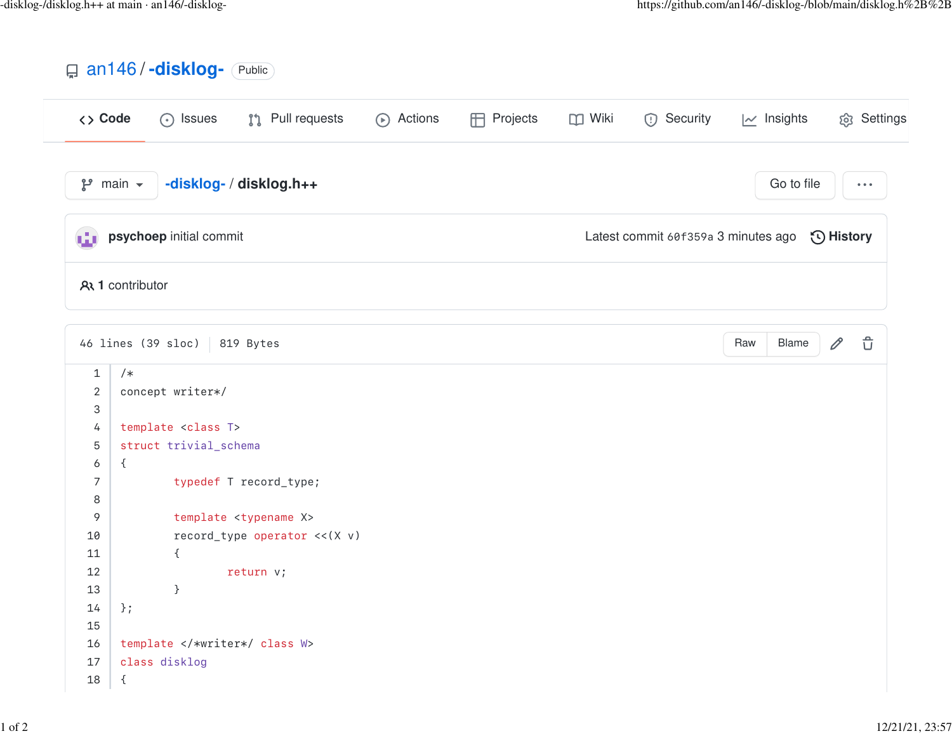